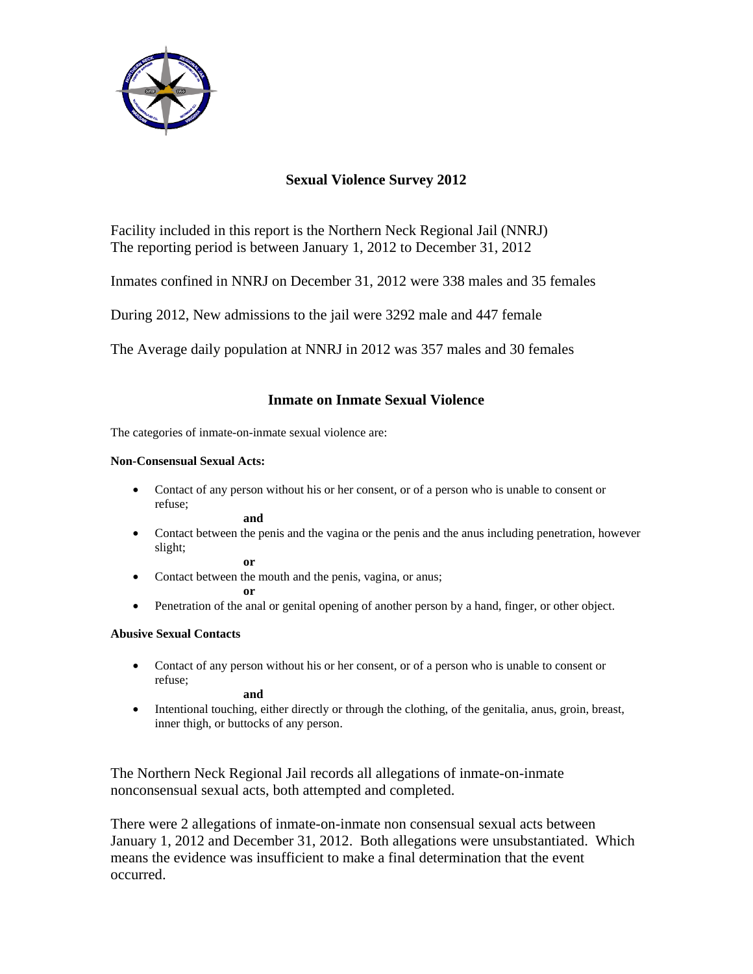

# **Sexual Violence Survey 2012**

Facility included in this report is the Northern Neck Regional Jail (NNRJ) The reporting period is between January 1, 2012 to December 31, 2012

Inmates confined in NNRJ on December 31, 2012 were 338 males and 35 females

During 2012, New admissions to the jail were 3292 male and 447 female

The Average daily population at NNRJ in 2012 was 357 males and 30 females

## **Inmate on Inmate Sexual Violence**

The categories of inmate-on-inmate sexual violence are:

### **Non-Consensual Sexual Acts:**

• Contact of any person without his or her consent, or of a person who is unable to consent or refuse;

**and**

• Contact between the penis and the vagina or the penis and the anus including penetration, however slight;

**or** 

• Contact between the mouth and the penis, vagina, or anus;

**or** 

• Penetration of the anal or genital opening of another person by a hand, finger, or other object.

### **Abusive Sexual Contacts**

• Contact of any person without his or her consent, or of a person who is unable to consent or refuse;

**and** 

• Intentional touching, either directly or through the clothing, of the genitalia, anus, groin, breast, inner thigh, or buttocks of any person.

The Northern Neck Regional Jail records all allegations of inmate-on-inmate nonconsensual sexual acts, both attempted and completed.

There were 2 allegations of inmate-on-inmate non consensual sexual acts between January 1, 2012 and December 31, 2012. Both allegations were unsubstantiated. Which means the evidence was insufficient to make a final determination that the event occurred.